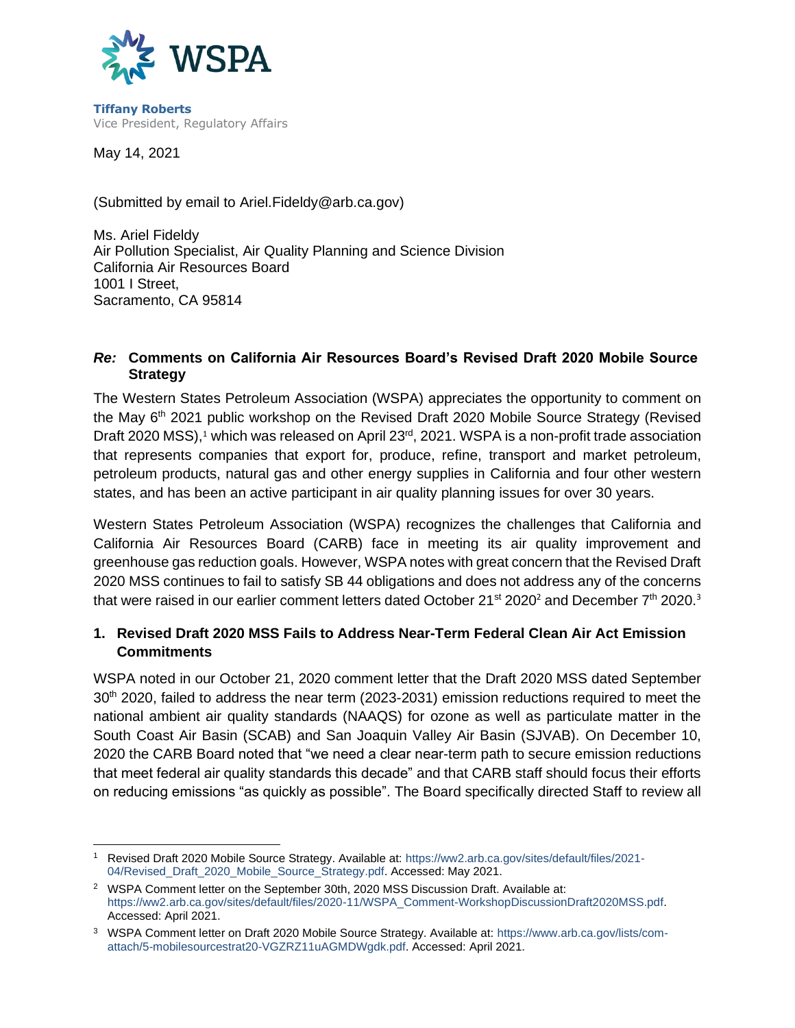

**Tiffany Roberts** Vice President, Regulatory Affairs

May 14, 2021

(Submitted by email to Ariel.Fideldy@arb.ca.gov)

Ms. Ariel Fideldy Air Pollution Specialist, Air Quality Planning and Science Division California Air Resources Board 1001 I Street, Sacramento, CA 95814

#### *Re:* **Comments on California Air Resources Board's Revised Draft 2020 Mobile Source Strategy**

The Western States Petroleum Association (WSPA) appreciates the opportunity to comment on the May 6th 2021 public workshop on the Revised Draft 2020 Mobile Source Strategy (Revised Draft 2020 MSS),<sup>1</sup> which was released on April 23<sup>rd</sup>, 2021. WSPA is a non-profit trade association that represents companies that export for, produce, refine, transport and market petroleum, petroleum products, natural gas and other energy supplies in California and four other western states, and has been an active participant in air quality planning issues for over 30 years.

Western States Petroleum Association (WSPA) recognizes the challenges that California and California Air Resources Board (CARB) face in meeting its air quality improvement and greenhouse gas reduction goals. However, WSPA notes with great concern that the Revised Draft 2020 MSS continues to fail to satisfy SB 44 obligations and does not address any of the concerns that were raised in our earlier comment letters dated October 21<sup>st</sup> 2020<sup>2</sup> and December 7<sup>th</sup> 2020.<sup>3</sup>

## **1. Revised Draft 2020 MSS Fails to Address Near-Term Federal Clean Air Act Emission Commitments**

WSPA noted in our October 21, 2020 comment letter that the Draft 2020 MSS dated September 30th 2020, failed to address the near term (2023-2031) emission reductions required to meet the national ambient air quality standards (NAAQS) for ozone as well as particulate matter in the South Coast Air Basin (SCAB) and San Joaquin Valley Air Basin (SJVAB). On December 10, 2020 the CARB Board noted that "we need a clear near-term path to secure emission reductions that meet federal air quality standards this decade" and that CARB staff should focus their efforts on reducing emissions "as quickly as possible". The Board specifically directed Staff to review all

<sup>1</sup> Revised Draft 2020 Mobile Source Strategy. Available at: [https://ww2.arb.ca.gov/sites/default/files/2021-](https://ww2.arb.ca.gov/sites/default/files/2021-04/Revised_Draft_2020_Mobile_Source_Strategy.pdf) [04/Revised\\_Draft\\_2020\\_Mobile\\_Source\\_Strategy.pdf.](https://ww2.arb.ca.gov/sites/default/files/2021-04/Revised_Draft_2020_Mobile_Source_Strategy.pdf) Accessed: May 2021.

<sup>&</sup>lt;sup>2</sup> WSPA Comment letter on the September 30th, 2020 MSS Discussion Draft. Available at: [https://ww2.arb.ca.gov/sites/default/files/2020-11/WSPA\\_Comment-WorkshopDiscussionDraft2020MSS.pdf.](https://ww2.arb.ca.gov/sites/default/files/2020-11/WSPA_Comment-WorkshopDiscussionDraft2020MSS.pdf) Accessed: April 2021.

<sup>3</sup> WSPA Comment letter on Draft 2020 Mobile Source Strategy. Available at: [https://www.arb.ca.gov/lists/com](https://www.arb.ca.gov/lists/com-attach/5-mobilesourcestrat20-VGZRZ11uAGMDWgdk.pdf)[attach/5-mobilesourcestrat20-VGZRZ11uAGMDWgdk.pdf.](https://www.arb.ca.gov/lists/com-attach/5-mobilesourcestrat20-VGZRZ11uAGMDWgdk.pdf) Accessed: April 2021.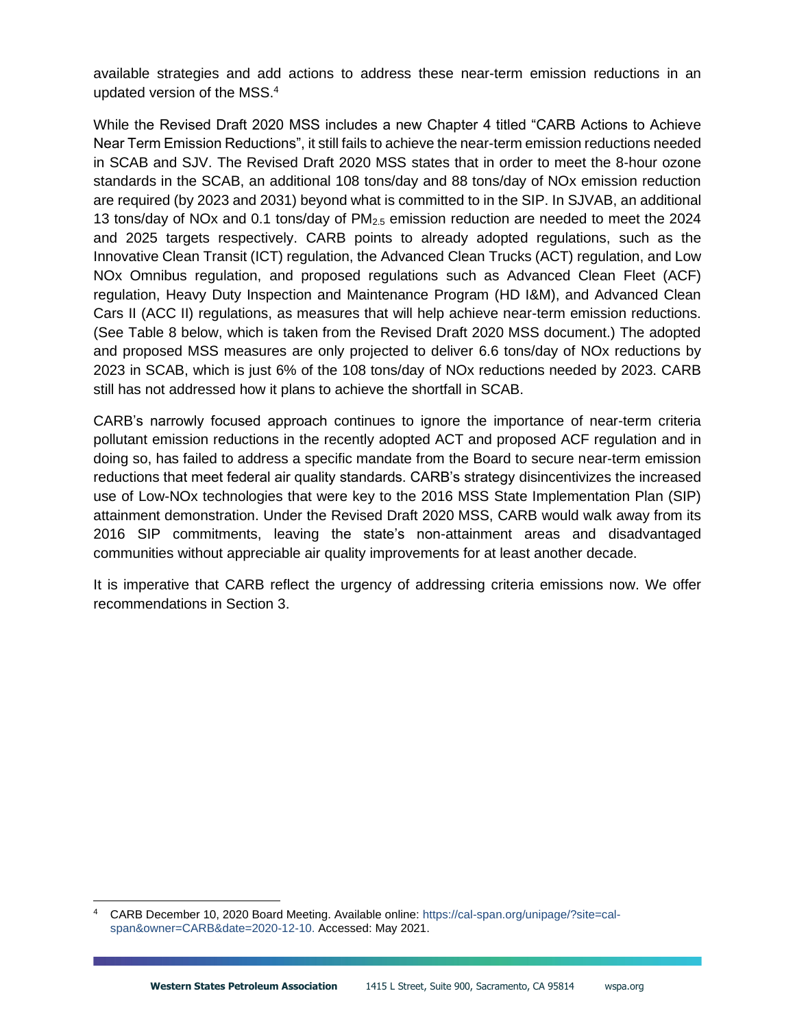available strategies and add actions to address these near-term emission reductions in an updated version of the MSS. 4

While the Revised Draft 2020 MSS includes a new Chapter 4 titled "CARB Actions to Achieve Near Term Emission Reductions", it still fails to achieve the near-term emission reductions needed in SCAB and SJV. The Revised Draft 2020 MSS states that in order to meet the 8-hour ozone standards in the SCAB, an additional 108 tons/day and 88 tons/day of NOx emission reduction are required (by 2023 and 2031) beyond what is committed to in the SIP. In SJVAB, an additional 13 tons/day of NOx and 0.1 tons/day of  $PM<sub>2.5</sub>$  emission reduction are needed to meet the 2024 and 2025 targets respectively. CARB points to already adopted regulations, such as the Innovative Clean Transit (ICT) regulation, the Advanced Clean Trucks (ACT) regulation, and Low NOx Omnibus regulation, and proposed regulations such as Advanced Clean Fleet (ACF) regulation, Heavy Duty Inspection and Maintenance Program (HD I&M), and Advanced Clean Cars II (ACC II) regulations, as measures that will help achieve near-term emission reductions. (See Table 8 below, which is taken from the Revised Draft 2020 MSS document.) The adopted and proposed MSS measures are only projected to deliver 6.6 tons/day of NOx reductions by 2023 in SCAB, which is just 6% of the 108 tons/day of NOx reductions needed by 2023. CARB still has not addressed how it plans to achieve the shortfall in SCAB.

CARB's narrowly focused approach continues to ignore the importance of near-term criteria pollutant emission reductions in the recently adopted ACT and proposed ACF regulation and in doing so, has failed to address a specific mandate from the Board to secure near-term emission reductions that meet federal air quality standards. CARB's strategy disincentivizes the increased use of Low-NOx technologies that were key to the 2016 MSS State Implementation Plan (SIP) attainment demonstration. Under the Revised Draft 2020 MSS, CARB would walk away from its 2016 SIP commitments, leaving the state's non-attainment areas and disadvantaged communities without appreciable air quality improvements for at least another decade.

It is imperative that CARB reflect the urgency of addressing criteria emissions now. We offer recommendations in Section 3.

<sup>4</sup> CARB December 10, 2020 Board Meeting. Available online[: https://cal-span.org/unipage/?site=cal](https://cal-span.org/unipage/?site=cal-span&owner=CARB&date=2020-12-10)[span&owner=CARB&date=2020-12-10.](https://cal-span.org/unipage/?site=cal-span&owner=CARB&date=2020-12-10) Accessed: May 2021.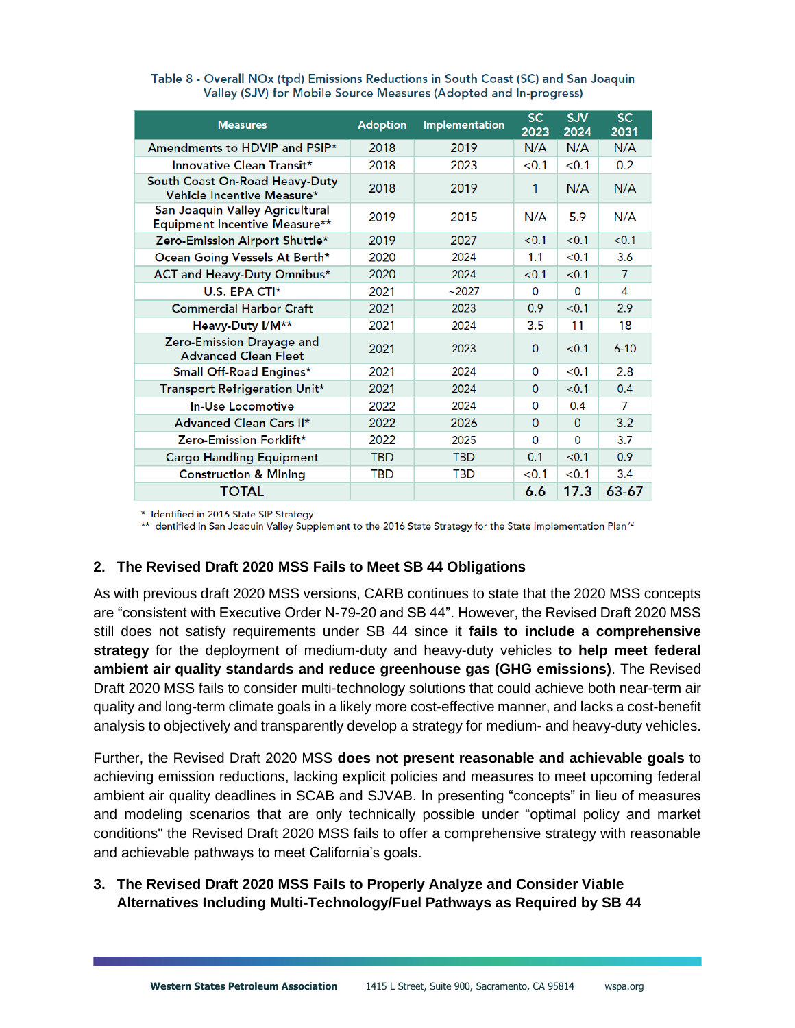| <b>Measures</b>                                                  | <b>Adoption</b> | <b>Implementation</b> | <b>SC</b><br>2023 | <b>SJV</b><br>2024 | <b>SC</b><br>2031 |
|------------------------------------------------------------------|-----------------|-----------------------|-------------------|--------------------|-------------------|
| Amendments to HDVIP and PSIP*                                    | 2018            | 2019                  | N/A               | N/A                | N/A               |
| Innovative Clean Transit*                                        | 2018            | 2023                  | < 0.1             | < 0.1              | 0.2               |
| South Coast On-Road Heavy-Duty<br>Vehicle Incentive Measure*     | 2018            | 2019                  | 1                 | N/A                | N/A               |
| San Joaquin Valley Agricultural<br>Equipment Incentive Measure** | 2019            | 2015                  | N/A               | 5.9                | N/A               |
| Zero-Emission Airport Shuttle*                                   | 2019            | 2027                  | < 0.1             | < 0.1              | < 0.1             |
| Ocean Going Vessels At Berth*                                    | 2020            | 2024                  | 1.1               | < 0.1              | 3.6               |
| ACT and Heavy-Duty Omnibus*                                      | 2020            | 2024                  | < 0.1             | < 0.1              | $\overline{7}$    |
| $U.S.$ EPA CTI*                                                  | 2021            | ~2027                 | $\Omega$          | $\Omega$           | 4                 |
| <b>Commercial Harbor Craft</b>                                   | 2021            | 2023                  | 0.9               | < 0.1              | 2.9               |
| Heavy-Duty I/M**                                                 | 2021            | 2024                  | 3.5               | 11                 | 18                |
| Zero-Emission Drayage and<br><b>Advanced Clean Fleet</b>         | 2021            | 2023                  | $\mathbf{0}$      | < 0.1              | $6 - 10$          |
| Small Off-Road Engines*                                          | 2021            | 2024                  | 0                 | < 0.1              | 2.8               |
| Transport Refrigeration Unit*                                    | 2021            | 2024                  | $\Omega$          | < 0.1              | 0.4               |
| <b>In-Use Locomotive</b>                                         | 2022            | 2024                  | 0                 | 0.4                | 7                 |
| Advanced Clean Cars II*                                          | 2022            | 2026                  | $\Omega$          | $\Omega$           | 3.2               |
| Zero-Emission Forklift*                                          | 2022            | 2025                  | $\Omega$          | $\Omega$           | 3.7               |
| <b>Cargo Handling Equipment</b>                                  | TBD             | <b>TBD</b>            | 0.1               | < 0.1              | 0.9               |
| <b>Construction &amp; Mining</b>                                 | <b>TBD</b>      | <b>TBD</b>            | < 0.1             | < 0.1              | 3.4               |
| <b>TOTAL</b>                                                     |                 |                       | 6.6               | 17.3               | 63-67             |

| Table 8 - Overall NOx (tpd) Emissions Reductions in South Coast (SC) and San Joaquin |
|--------------------------------------------------------------------------------------|
| Valley (SJV) for Mobile Source Measures (Adopted and In-progress)                    |

\* Identified in 2016 State SIP Strategy

\*\* Identified in San Joaquin Valley Supplement to the 2016 State Strategy for the State Implementation Plan<sup>72</sup>

#### **2. The Revised Draft 2020 MSS Fails to Meet SB 44 Obligations**

As with previous draft 2020 MSS versions, CARB continues to state that the 2020 MSS concepts are "consistent with Executive Order N-79-20 and SB 44". However, the Revised Draft 2020 MSS still does not satisfy requirements under SB 44 since it **fails to include a comprehensive strategy** for the deployment of medium-duty and heavy-duty vehicles **to help meet federal ambient air quality standards and reduce greenhouse gas (GHG emissions)**. The Revised Draft 2020 MSS fails to consider multi-technology solutions that could achieve both near-term air quality and long-term climate goals in a likely more cost-effective manner, and lacks a cost-benefit analysis to objectively and transparently develop a strategy for medium- and heavy-duty vehicles.

Further, the Revised Draft 2020 MSS **does not present reasonable and achievable goals** to achieving emission reductions, lacking explicit policies and measures to meet upcoming federal ambient air quality deadlines in SCAB and SJVAB. In presenting "concepts" in lieu of measures and modeling scenarios that are only technically possible under "optimal policy and market conditions" the Revised Draft 2020 MSS fails to offer a comprehensive strategy with reasonable and achievable pathways to meet California's goals.

#### **3. The Revised Draft 2020 MSS Fails to Properly Analyze and Consider Viable Alternatives Including Multi-Technology/Fuel Pathways as Required by SB 44**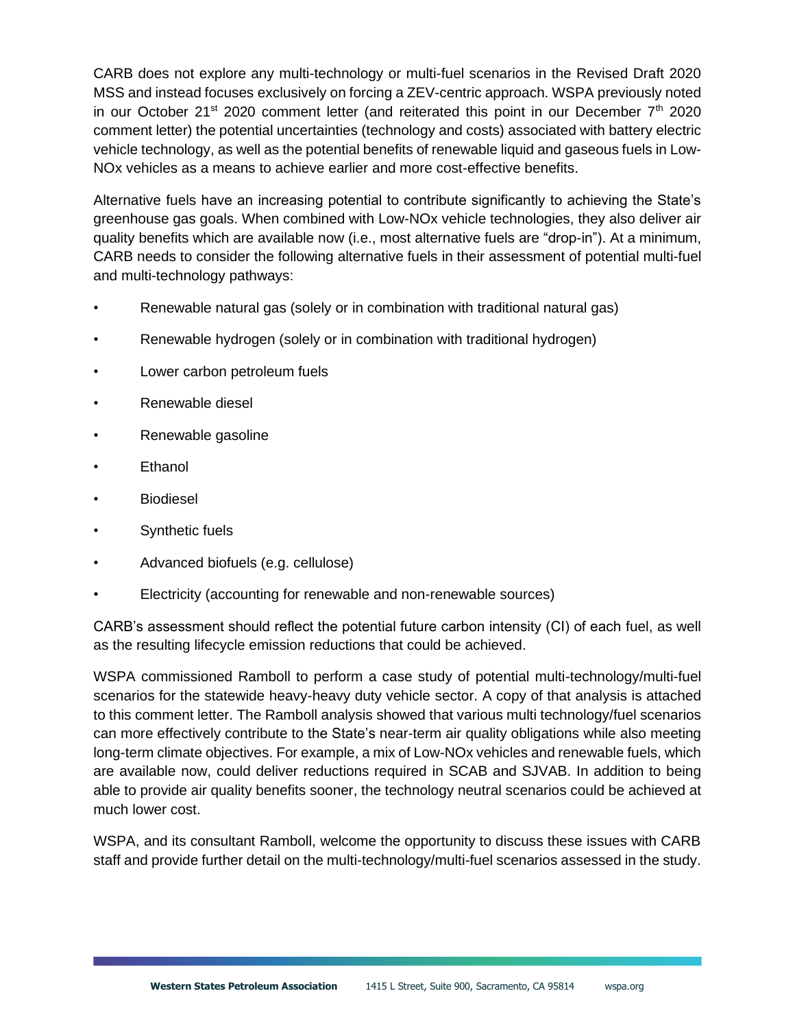CARB does not explore any multi-technology or multi-fuel scenarios in the Revised Draft 2020 MSS and instead focuses exclusively on forcing a ZEV-centric approach. WSPA previously noted in our October 21<sup>st</sup> 2020 comment letter (and reiterated this point in our December  $7<sup>th</sup>$  2020 comment letter) the potential uncertainties (technology and costs) associated with battery electric vehicle technology, as well as the potential benefits of renewable liquid and gaseous fuels in Low-NOx vehicles as a means to achieve earlier and more cost-effective benefits.

Alternative fuels have an increasing potential to contribute significantly to achieving the State's greenhouse gas goals. When combined with Low-NOx vehicle technologies, they also deliver air quality benefits which are available now (i.e., most alternative fuels are "drop-in"). At a minimum, CARB needs to consider the following alternative fuels in their assessment of potential multi-fuel and multi-technology pathways:

- Renewable natural gas (solely or in combination with traditional natural gas)
- Renewable hydrogen (solely or in combination with traditional hydrogen)
- Lower carbon petroleum fuels
- Renewable diesel
- Renewable gasoline
- **Ethanol**
- **Biodiesel**
- Synthetic fuels
- Advanced biofuels (e.g. cellulose)
- Electricity (accounting for renewable and non-renewable sources)

CARB's assessment should reflect the potential future carbon intensity (CI) of each fuel, as well as the resulting lifecycle emission reductions that could be achieved.

WSPA commissioned Ramboll to perform a case study of potential multi-technology/multi-fuel scenarios for the statewide heavy-heavy duty vehicle sector. A copy of that analysis is attached to this comment letter. The Ramboll analysis showed that various multi technology/fuel scenarios can more effectively contribute to the State's near-term air quality obligations while also meeting long-term climate objectives. For example, a mix of Low-NOx vehicles and renewable fuels, which are available now, could deliver reductions required in SCAB and SJVAB. In addition to being able to provide air quality benefits sooner, the technology neutral scenarios could be achieved at much lower cost.

WSPA, and its consultant Ramboll, welcome the opportunity to discuss these issues with CARB staff and provide further detail on the multi-technology/multi-fuel scenarios assessed in the study.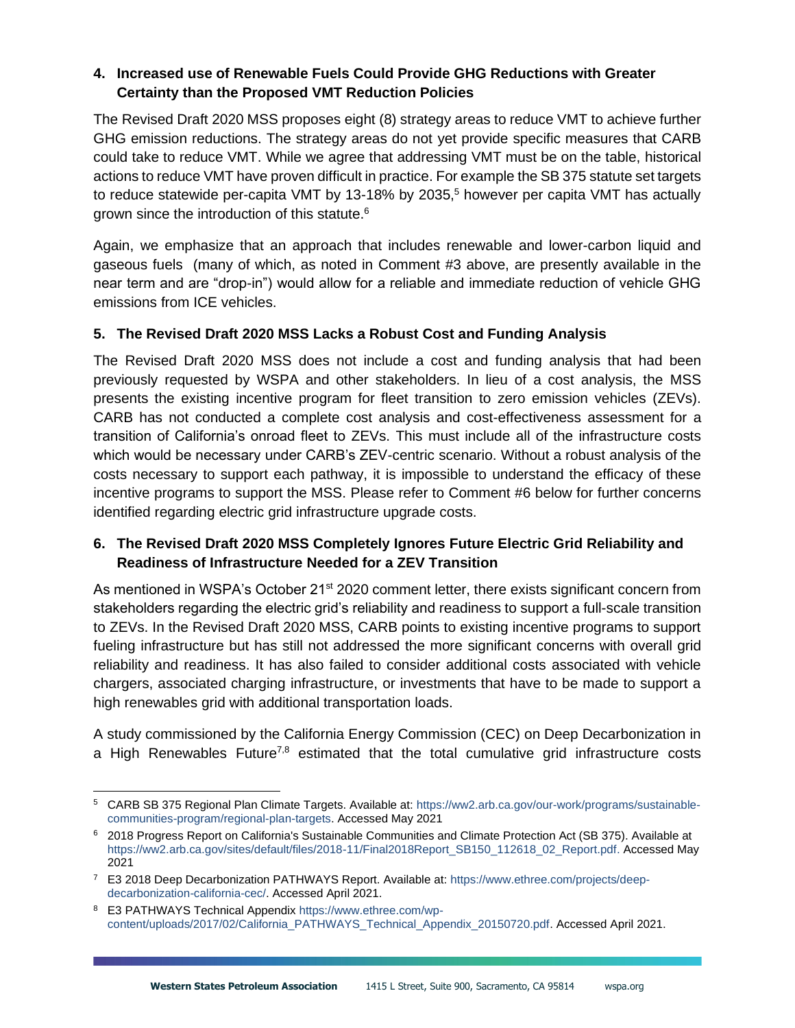#### **4. Increased use of Renewable Fuels Could Provide GHG Reductions with Greater Certainty than the Proposed VMT Reduction Policies**

The Revised Draft 2020 MSS proposes eight (8) strategy areas to reduce VMT to achieve further GHG emission reductions. The strategy areas do not yet provide specific measures that CARB could take to reduce VMT. While we agree that addressing VMT must be on the table, historical actions to reduce VMT have proven difficult in practice. For example the SB 375 statute set targets to reduce statewide per-capita VMT by 13-18% by 2035,<sup>5</sup> however per capita VMT has actually grown since the introduction of this statute.<sup>6</sup>

Again, we emphasize that an approach that includes renewable and lower-carbon liquid and gaseous fuels (many of which, as noted in Comment #3 above, are presently available in the near term and are "drop-in") would allow for a reliable and immediate reduction of vehicle GHG emissions from ICE vehicles.

## **5. The Revised Draft 2020 MSS Lacks a Robust Cost and Funding Analysis**

The Revised Draft 2020 MSS does not include a cost and funding analysis that had been previously requested by WSPA and other stakeholders. In lieu of a cost analysis, the MSS presents the existing incentive program for fleet transition to zero emission vehicles (ZEVs). CARB has not conducted a complete cost analysis and cost-effectiveness assessment for a transition of California's onroad fleet to ZEVs. This must include all of the infrastructure costs which would be necessary under CARB's ZEV-centric scenario. Without a robust analysis of the costs necessary to support each pathway, it is impossible to understand the efficacy of these incentive programs to support the MSS. Please refer to Comment #6 below for further concerns identified regarding electric grid infrastructure upgrade costs.

## **6. The Revised Draft 2020 MSS Completely Ignores Future Electric Grid Reliability and Readiness of Infrastructure Needed for a ZEV Transition**

As mentioned in WSPA's October 21<sup>st</sup> 2020 comment letter, there exists significant concern from stakeholders regarding the electric grid's reliability and readiness to support a full-scale transition to ZEVs. In the Revised Draft 2020 MSS, CARB points to existing incentive programs to support fueling infrastructure but has still not addressed the more significant concerns with overall grid reliability and readiness. It has also failed to consider additional costs associated with vehicle chargers, associated charging infrastructure, or investments that have to be made to support a high renewables grid with additional transportation loads.

A study commissioned by the California Energy Commission (CEC) on Deep Decarbonization in a High Renewables Future<sup>7,8</sup> estimated that the total cumulative grid infrastructure costs

<sup>5</sup> CARB SB 375 Regional Plan Climate Targets. Available at: [https://ww2.arb.ca.gov/our-work/programs/sustainable](https://ww2.arb.ca.gov/our-work/programs/sustainable-communities-program/regional-plan-targets)[communities-program/regional-plan-targets.](https://ww2.arb.ca.gov/our-work/programs/sustainable-communities-program/regional-plan-targets) Accessed May 2021

<sup>6</sup> 2018 Progress Report on California's Sustainable Communities and Climate Protection Act (SB 375). Available at [https://ww2.arb.ca.gov/sites/default/files/2018-11/Final2018Report\\_SB150\\_112618\\_02\\_Report.pdf.](https://ww2.arb.ca.gov/sites/default/files/2018-11/Final2018Report_SB150_112618_02_Report.pdf) Accessed May 2021

<sup>7</sup> E3 2018 Deep Decarbonization PATHWAYS Report. Available at: https://www.ethree.com/projects/deepdecarbonization-california-cec/. Accessed April 2021.

<sup>8</sup> E3 PATHWAYS Technical Appendix https://www.ethree.com/wpcontent/uploads/2017/02/California\_PATHWAYS\_Technical\_Appendix\_20150720.pdf. Accessed April 2021.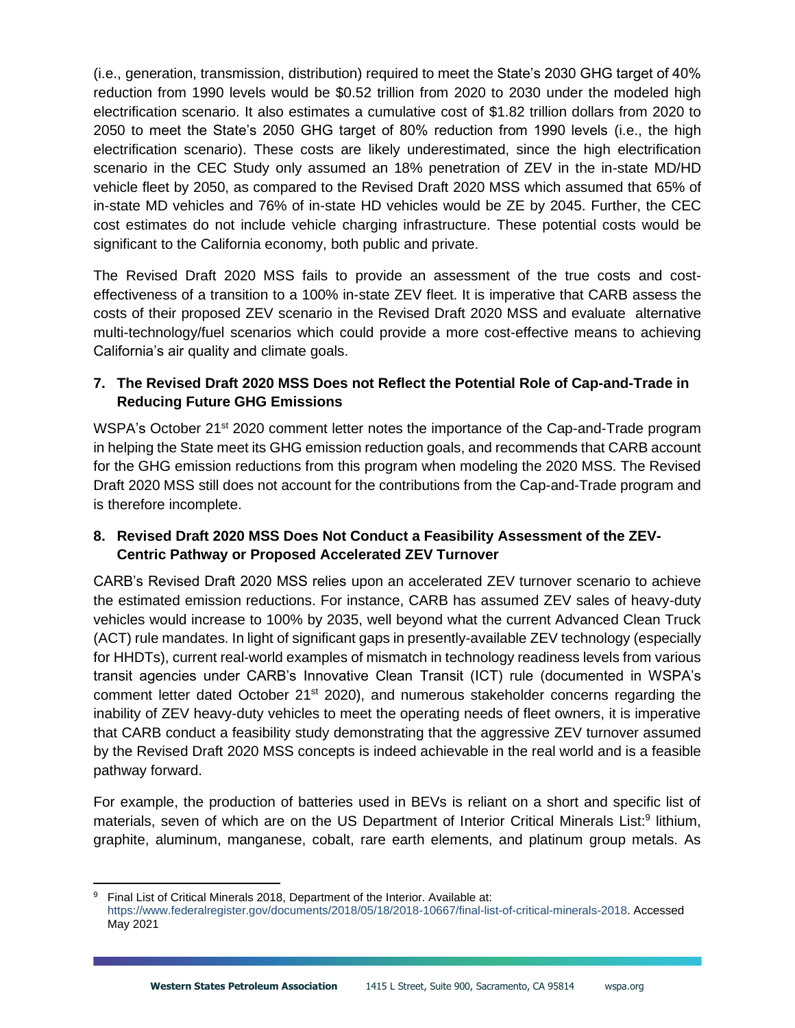(i.e., generation, transmission, distribution) required to meet the State's 2030 GHG target of 40% reduction from 1990 levels would be \$0.52 trillion from 2020 to 2030 under the modeled high electrification scenario. It also estimates a cumulative cost of \$1.82 trillion dollars from 2020 to 2050 to meet the State's 2050 GHG target of 80% reduction from 1990 levels (i.e., the high electrification scenario). These costs are likely underestimated, since the high electrification scenario in the CEC Study only assumed an 18% penetration of ZEV in the in-state MD/HD vehicle fleet by 2050, as compared to the Revised Draft 2020 MSS which assumed that 65% of in-state MD vehicles and 76% of in-state HD vehicles would be ZE by 2045. Further, the CEC cost estimates do not include vehicle charging infrastructure. These potential costs would be significant to the California economy, both public and private.

The Revised Draft 2020 MSS fails to provide an assessment of the true costs and costeffectiveness of a transition to a 100% in-state ZEV fleet. It is imperative that CARB assess the costs of their proposed ZEV scenario in the Revised Draft 2020 MSS and evaluate alternative multi-technology/fuel scenarios which could provide a more cost-effective means to achieving California's air quality and climate goals.

#### **7. The Revised Draft 2020 MSS Does not Reflect the Potential Role of Cap-and-Trade in Reducing Future GHG Emissions**

WSPA's October 21<sup>st</sup> 2020 comment letter notes the importance of the Cap-and-Trade program in helping the State meet its GHG emission reduction goals, and recommends that CARB account for the GHG emission reductions from this program when modeling the 2020 MSS. The Revised Draft 2020 MSS still does not account for the contributions from the Cap-and-Trade program and is therefore incomplete.

## **8. Revised Draft 2020 MSS Does Not Conduct a Feasibility Assessment of the ZEV-Centric Pathway or Proposed Accelerated ZEV Turnover**

CARB's Revised Draft 2020 MSS relies upon an accelerated ZEV turnover scenario to achieve the estimated emission reductions. For instance, CARB has assumed ZEV sales of heavy-duty vehicles would increase to 100% by 2035, well beyond what the current Advanced Clean Truck (ACT) rule mandates. In light of significant gaps in presently-available ZEV technology (especially for HHDTs), current real-world examples of mismatch in technology readiness levels from various transit agencies under CARB's Innovative Clean Transit (ICT) rule (documented in WSPA's comment letter dated October 21<sup>st</sup> 2020), and numerous stakeholder concerns regarding the inability of ZEV heavy-duty vehicles to meet the operating needs of fleet owners, it is imperative that CARB conduct a feasibility study demonstrating that the aggressive ZEV turnover assumed by the Revised Draft 2020 MSS concepts is indeed achievable in the real world and is a feasible pathway forward.

For example, the production of batteries used in BEVs is reliant on a short and specific list of materials, seven of which are on the US Department of Interior Critical Minerals List:<sup>9</sup> lithium, graphite, aluminum, manganese, cobalt, rare earth elements, and platinum group metals. As

<sup>9</sup> Final List of Critical Minerals 2018, Department of the Interior. Available at: [https://www.federalregister.gov/documents/2018/05/18/2018-10667/final-list-of-critical-minerals-2018.](https://www.federalregister.gov/documents/2018/05/18/2018-10667/final-list-of-critical-minerals-2018) Accessed May 2021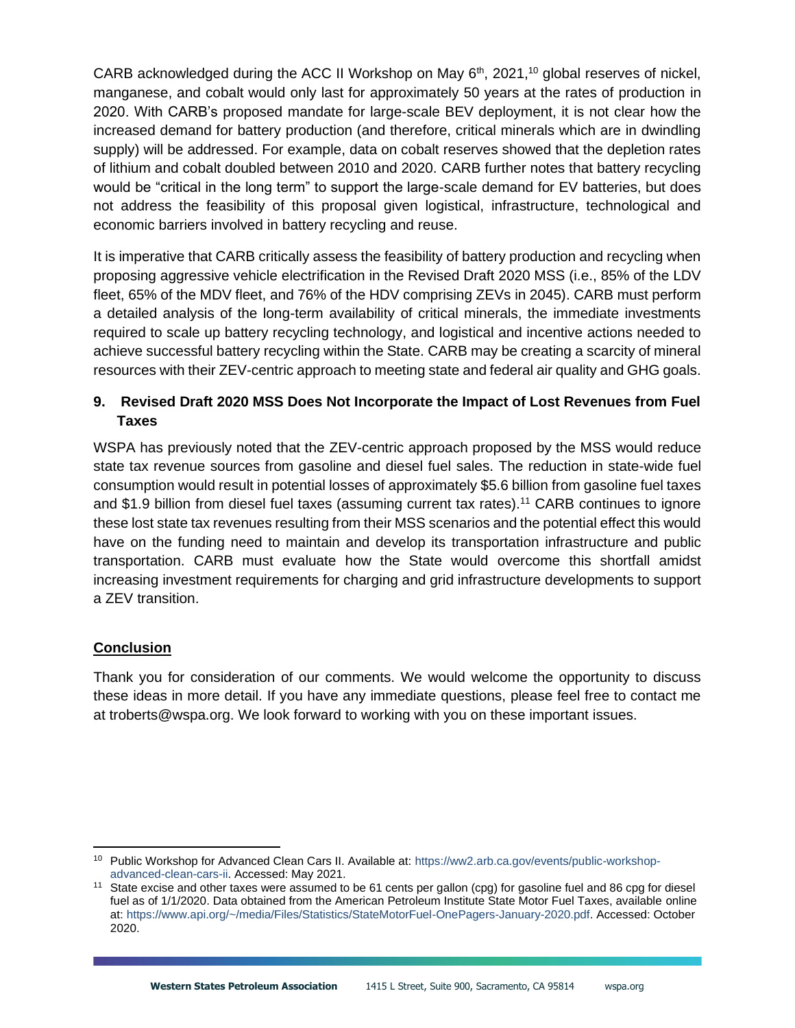CARB acknowledged during the ACC II Workshop on May  $6<sup>th</sup>$ , 2021,<sup>10</sup> global reserves of nickel, manganese, and cobalt would only last for approximately 50 years at the rates of production in 2020. With CARB's proposed mandate for large-scale BEV deployment, it is not clear how the increased demand for battery production (and therefore, critical minerals which are in dwindling supply) will be addressed. For example, data on cobalt reserves showed that the depletion rates of lithium and cobalt doubled between 2010 and 2020. CARB further notes that battery recycling would be "critical in the long term" to support the large-scale demand for EV batteries, but does not address the feasibility of this proposal given logistical, infrastructure, technological and economic barriers involved in battery recycling and reuse.

It is imperative that CARB critically assess the feasibility of battery production and recycling when proposing aggressive vehicle electrification in the Revised Draft 2020 MSS (i.e., 85% of the LDV fleet, 65% of the MDV fleet, and 76% of the HDV comprising ZEVs in 2045). CARB must perform a detailed analysis of the long-term availability of critical minerals, the immediate investments required to scale up battery recycling technology, and logistical and incentive actions needed to achieve successful battery recycling within the State. CARB may be creating a scarcity of mineral resources with their ZEV-centric approach to meeting state and federal air quality and GHG goals.

# **9. Revised Draft 2020 MSS Does Not Incorporate the Impact of Lost Revenues from Fuel Taxes**

WSPA has previously noted that the ZEV-centric approach proposed by the MSS would reduce state tax revenue sources from gasoline and diesel fuel sales. The reduction in state-wide fuel consumption would result in potential losses of approximately \$5.6 billion from gasoline fuel taxes and \$1.9 billion from diesel fuel taxes (assuming current tax rates).<sup>11</sup> CARB continues to ignore these lost state tax revenues resulting from their MSS scenarios and the potential effect this would have on the funding need to maintain and develop its transportation infrastructure and public transportation. CARB must evaluate how the State would overcome this shortfall amidst increasing investment requirements for charging and grid infrastructure developments to support a ZEV transition.

## **Conclusion**

Thank you for consideration of our comments. We would welcome the opportunity to discuss these ideas in more detail. If you have any immediate questions, please feel free to contact me at troberts@wspa.org. We look forward to working with you on these important issues.

<sup>10</sup> Public Workshop for Advanced Clean Cars II. Available at[: https://ww2.arb.ca.gov/events/public-workshop](https://ww2.arb.ca.gov/events/public-workshop-advanced-clean-cars-ii)[advanced-clean-cars-ii.](https://ww2.arb.ca.gov/events/public-workshop-advanced-clean-cars-ii) Accessed: May 2021.

<sup>&</sup>lt;sup>11</sup> State excise and other taxes were assumed to be 61 cents per gallon (cpg) for gasoline fuel and 86 cpg for diesel fuel as of 1/1/2020. Data obtained from the American Petroleum Institute State Motor Fuel Taxes, available online at: [https://www.api.org/~/media/Files/Statistics/StateMotorFuel-OnePagers-January-2020.pdf.](https://www.api.org/~/media/Files/Statistics/StateMotorFuel-OnePagers-January-2020.pdf) Accessed: October 2020.